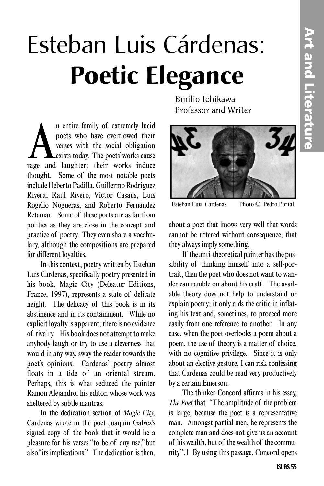## Esteban Luis Cárdenas: **Poetic Elegance**

n entire family of extremely lucid<br>poets who have overflowed their<br>verses with the social obligation<br>rage and laughter; their works induce n entire family of extremely lucid poets who have overflowed their verses with the social obligation exists today. The poets'works cause thought. Some of the most notable poets include Heberto Padilla, Guillermo Rodríguez Rivera, Raúl Rivero, Víctor Casaus, Luis Rogelio Nogueras, and Roberto Fernández Retamar. Some of these poets are as far from politics as they are close in the concept and practice of poetry. They even share a vocabulary, although the compositions are prepared for different loyalties.

In this context, poetry written by Esteban Luis Cardenas, specifically poetry presented in his book, Magic City (Deleatur Editions, France, 1997), represents a state of delicate height. The delicacy of this book is in its abstinence and in its containment. While no explicit loyalty is apparent, there is no evidence of rivalry. His book does not attempt to make anybody laugh or try to use a cleverness that would in any way, sway the reader towards the poet's opinions. Cardenas' poetry almost floats in a tide of an oriental stream. Perhaps, this is what seduced the painter Ramon Alejandro, his editor, whose work was sheltered by subtle mantras.

In the dedication section of *Magic City,* Cardenas wrote in the poet Joaquin Galvez's signed copy of the book that it would be a pleasure for his verses "to be of any use,"but also "its implications." The dedication is then,

Emilio Ichikawa Professor and Writer



Esteban Luis Cárdenas Photo © Pedro Portal

about a poet that knows very well that words cannot be uttered without consequence, that they always imply something.

If the anti-theoretical painter has the possibility of thinking himself into a self-portrait, then the poet who does not want to wander can ramble on about his craft. The available theory does not help to understand or explain poetry; it only aids the critic in inflating his text and, sometimes, to proceed more easily from one reference to another. In any case, when the poet overlooks a poem about a poem, the use of theory is a matter of choice, with no cognitive privilege. Since it is only about an elective gesture, I can risk confessing that Cardenas could be read very productively by a certain Emerson.

The thinker Concord affirms in his essay, *The Poet* that "The amplitude of the problem is large, because the poet is a representative man. Amongst partial men, he represents the complete man and does not give us an account of his wealth, but of the wealth of the community".1 By using this passage, Concord opens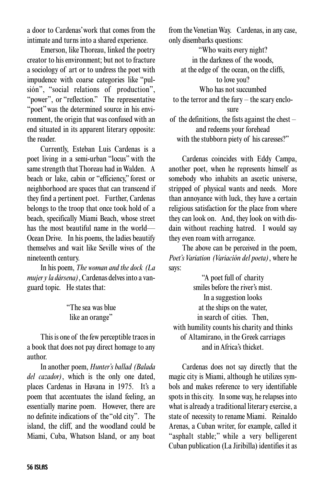a door to Cardenas'work that comes from the intimate and turns into a shared experience.

Emerson, like Thoreau, linked the poetry creator to his environment; but not to fracture a sociology of art or to undress the poet with impudence with coarse categories like "pulsión", "social relations of production", "power", or "reflection." The representative "poet" was the determined source in his environment, the origin that was confused with an end situated in its apparent literary opposite: the reader.

Currently, Esteban Luis Cardenas is a poet living in a semi-urban "locus" with the same strength that Thoreau had in Walden. A beach or lake, cabin or "efficiency," forest or neighborhood are spaces that can transcend if they find a pertinent poet. Further, Cardenas belongs to the troop that once took hold of a beach, specifically Miami Beach, whose street has the most beautiful name in the world— Ocean Drive. In his poems, the ladies beautify themselves and wait like Seville wives of the nineteenth century.

In his poem, *The woman and the dock (La mujer y la dársena)*, Cardenas delves into a vanguard topic. He states that:

> "The sea was blue like an orange"

This is one of the few perceptible traces in a book that does not pay direct homage to any author.

In another poem, *Hunter's ballad (Balada del cazador)*, which is the only one dated, places Cardenas in Havana in 1975. It's a poem that accentuates the island feeling, an essentially marine poem. However, there are no definite indications of the "old city". The island, the cliff, and the woodland could be Miami, Cuba, Whatson Island, or any boat

from the Venetian Way. Cardenas, in any case, only disembarks questions:

"Who waits every night? in the darkness of the woods, at the edge of the ocean, on the cliffs, to love you? Who has not succumbed to the terror and the fury – the scary enclosure of the definitions, the fists against the chest – and redeems your forehead with the stubborn piety of his caresses?"

Cardenas coincides with Eddy Campa, another poet, when he represents himself as somebody who inhabits an ascetic universe, stripped of physical wants and needs. More than annoyance with luck, they have a certain religious satisfaction for the place from where they can look on. And, they look on with disdain without reaching hatred. I would say they even roam with arrogance.

The above can be perceived in the poem, *Poet's Variation (Variación del poeta)*, where he says:

"A poet full of charity smiles before the river's mist. In a suggestion looks at the ships on the water, in search of cities. Then, with humility counts his charity and thinks of Altamirano, in the Greek carriages and in Africa's thicket.

Cardenas does not say directly that the magic city is Miami, although he utilizes symbols and makes reference to very identifiable spots in this city. In some way, he relapses into what is already a traditional literary exercise, a state of necessity to rename Miami. Reinaldo Arenas, a Cuban writer, for example, called it "asphalt stable;" while a very belligerent Cuban publication (La Jiribilla) identifies it as